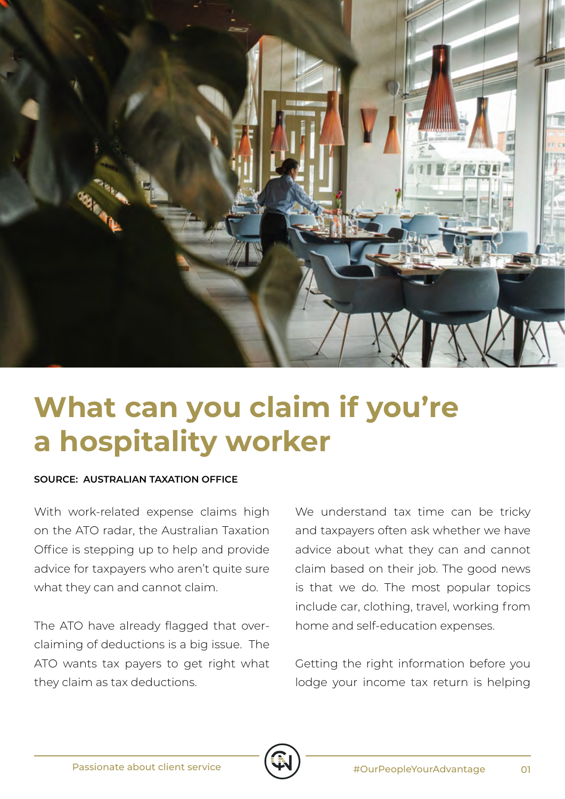

## **What can you claim if you're a hospitality worker**

## **SOURCE: AUSTRALIAN TAXATION OFFICE**

With work-related expense claims high on the ATO radar, the Australian Taxation Office is stepping up to help and provide advice for taxpayers who aren't quite sure what they can and cannot claim.

The ATO have already flagged that overclaiming of deductions is a big issue. The ATO wants tax payers to get right what they claim as tax deductions.

We understand tax time can be tricky and taxpayers often ask whether we have advice about what they can and cannot claim based on their job. The good news is that we do. The most popular topics include car, clothing, travel, working from home and self-education expenses.

Getting the right information before you lodge your income tax return is helping